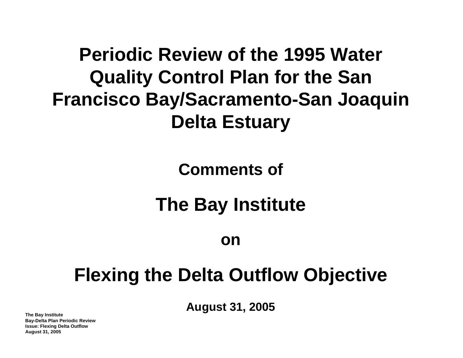## **Periodic Review of the 1995 Water Quality Control Plan for the San Francisco Bay/Sacramento-San Joaquin Delta Estuary**

## **Comments of**

# **The Bay Institute**

**on** 

## **Flexing the Delta Outflow Objective**

**August 31, 2005 The Bay Institute**

**Bay-Delta Plan Periodic Review Issue: Flexing Delta Outflow August 31, 2005**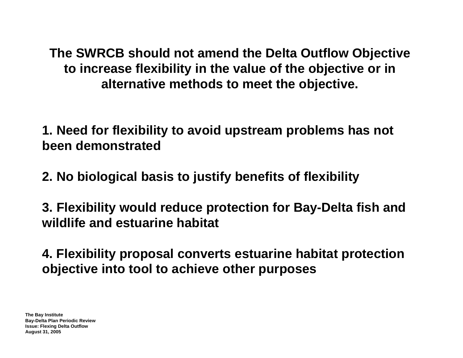**The SWRCB should not amend the Delta Outflow Objective to increase flexibility in the value of the objective or in alternative methods to meet the objective.**

**1. Need for flexibility to avoid upstream problems has not been demonstrated**

**2. No biological basis to justify benefits of flexibility**

**3. Flexibility would reduce protection for Bay-Delta fish and wildlife and estuarine habitat**

**4. Flexibility proposal converts estuarine habitat protection objective into tool to achieve other purposes**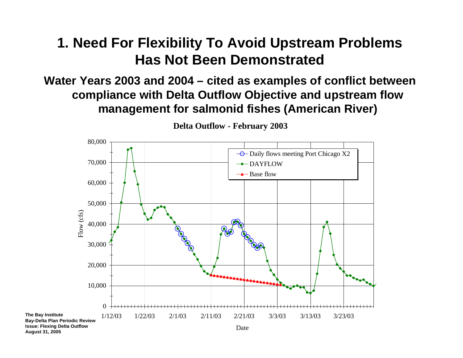### **1. Need For Flexibility To Avoid Upstream Problems Has Not Been Demonstrated**

#### **Water Years 2003 and 2004 – cited as examples of conflict between compliance with Delta Outflow Objective and upstream flow management for salmonid fishes (American River)**



**August 31, 2005**

**Delta Outflow - February 2003**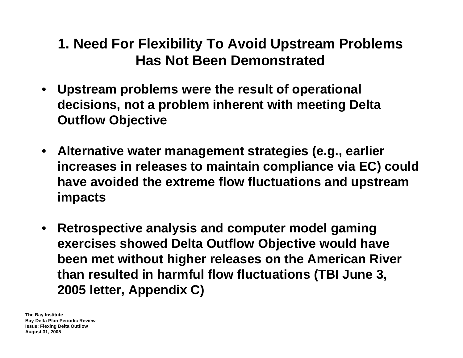### **1. Need For Flexibility To Avoid Upstream Problems Has Not Been Demonstrated**

- • **Upstream problems were the result of operational decisions, not a problem inherent with meeting Delta Outflow Objective**
- **Alternative water management strategies (e.g., earlier increases in releases to maintain compliance via EC) could have avoided the extreme flow fluctuations and upstream impacts**
- • **Retrospective analysis and computer model gaming exercises showed Delta Outflow Objective would have been met without higher releases on the American River than resulted in harmful flow fluctuations (TBI June 3, 2005 letter, Appendix C)**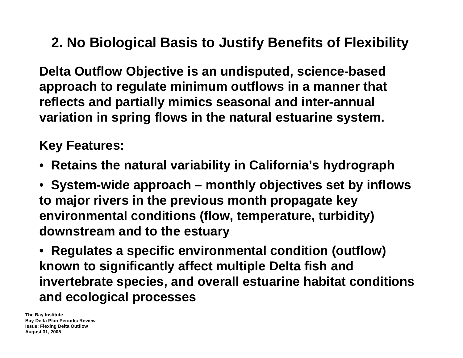## **2. No Biological Basis to Justify Benefits of Flexibility**

**Delta Outflow Objective is an undisputed, science-based approach to regulate minimum outflows in a manner that reflects and partially mimics seasonal and inter-annual variation in spring flows in the natural estuarine system.** 

**Key Features:**

- **Retains the natural variability in California's hydrograph**
- **System-wide approach – monthly objectives set by inflows to major rivers in the previous month propagate key environmental conditions (flow, temperature, turbidity) downstream and to the estuary**
- **Regulates a specific environmental condition (outflow) known to significantly affect multiple Delta fish and invertebrate species, and overall estuarine habitat conditions and ecological processes**

**The Bay Institute Bay-Delta Plan Periodic Review Issue: Flexing Delta Outflow August 31, 2005**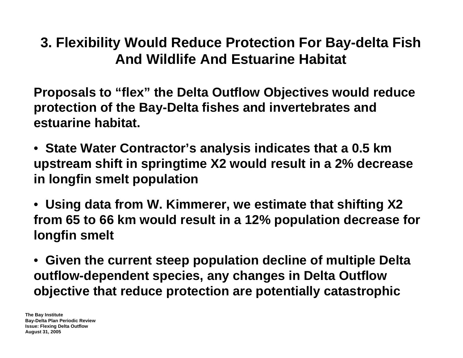### **3. Flexibility Would Reduce Protection For Bay-delta Fish And Wildlife And Estuarine Habitat**

**Proposals to "flex" the Delta Outflow Objectives would reduce protection of the Bay-Delta fishes and invertebrates and estuarine habitat.**

- **State Water Contractor's analysis indicates that a 0.5 km upstream shift in springtime X2 would result in a 2% decrease in longfin smelt population**
- **Using data from W. Kimmerer, we estimate that shifting X2 from 65 to 66 km would result in a 12% population decrease for longfin smelt**
- **Given the current steep population decline of multiple Delta outflow-dependent species, any changes in Delta Outflow objective that reduce protection are potentially catastrophic**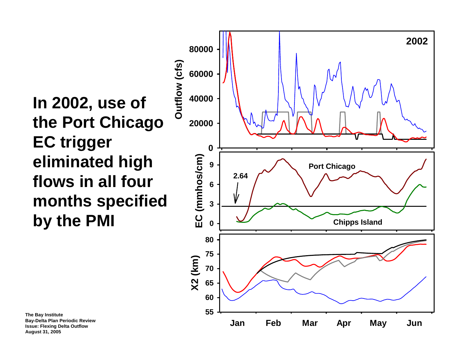**In 2002, use of the Port Chicago EC trigger eliminated high flows in all four months specified by the PMI**



**The Bay Institute Bay-Delta Plan Periodic Review Issue: Flexing Delta Outflow August 31, 2005**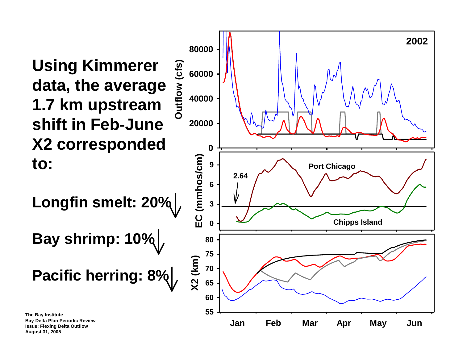**Using Kimmerer data, the average 1.7 km upstream shift in Feb-June X2 corresponded to:**

**Longfin smelt: 20%**

**Bay shrimp: 10%**

**Pacific herring: 8%**



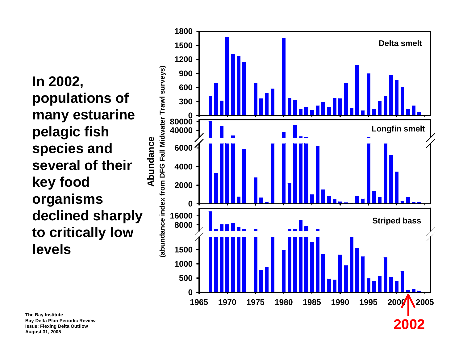**In 2002, populations of many estuarine pelagic fish species and several of their key food organisms declined sharply to critically low levels**



**The Bay Institute Bay-Delta Plan Periodic Review Issue: Flexing Delta Outflow August 31, 2005**

## **2002**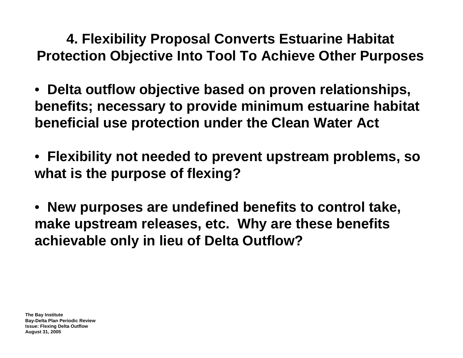**4. Flexibility Proposal Converts Estuarine Habitat Protection Objective Into Tool To Achieve Other Purposes**

- **Delta outflow objective based on proven relationships, benefits; necessary to provide minimum estuarine habitat beneficial use protection under the Clean Water Act**
- **Flexibility not needed to prevent upstream problems, so what is the purpose of flexing?**
- **New purposes are undefined benefits to control take, make upstream releases, etc. Why are these benefits achievable only in lieu of Delta Outflow?**